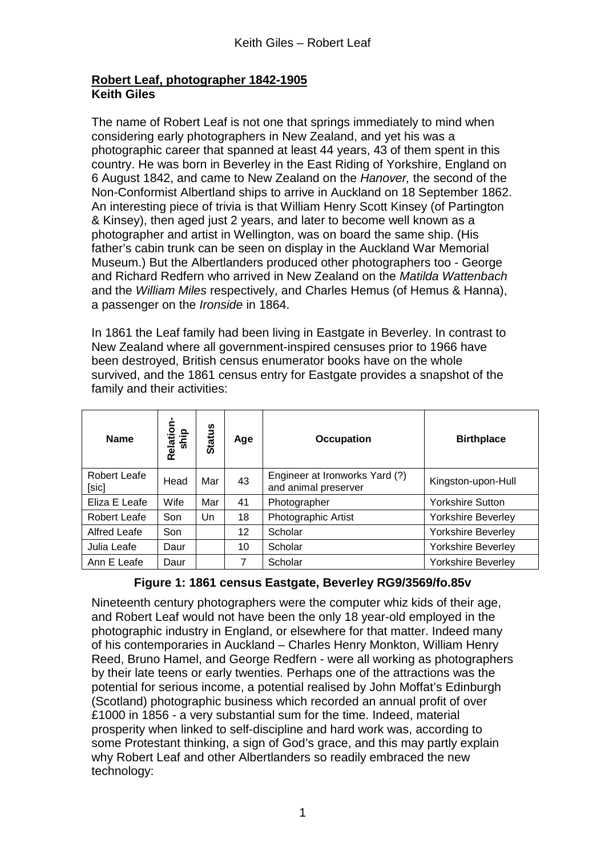## **Robert Leaf, photographer 1842-1905 Keith Giles**

The name of Robert Leaf is not one that springs immediately to mind when considering early photographers in New Zealand, and yet his was a photographic career that spanned at least 44 years, 43 of them spent in this country. He was born in Beverley in the East Riding of Yorkshire, England on 6 August 1842, and came to New Zealand on the *Hanover,* the second of the Non-Conformist Albertland ships to arrive in Auckland on 18 September 1862. An interesting piece of trivia is that William Henry Scott Kinsey (of Partington & Kinsey), then aged just 2 years, and later to become well known as a photographer and artist in Wellington, was on board the same ship. (His father's cabin trunk can be seen on display in the Auckland War Memorial Museum.) But the Albertlanders produced other photographers too - George and Richard Redfern who arrived in New Zealand on the *Matilda Wattenbach* and the *William Miles* respectively, and Charles Hemus (of Hemus & Hanna), a passenger on the *Ironside* in 1864.

In 1861 the Leaf family had been living in Eastgate in Beverley. In contrast to New Zealand where all government-inspired censuses prior to 1966 have been destroyed, British census enumerator books have on the whole survived, and the 1861 census entry for Eastgate provides a snapshot of the family and their activities:

| <b>Name</b>           | Relation<br>ship | <b>Status</b> | Age | <b>Occupation</b>                                      | <b>Birthplace</b>         |
|-----------------------|------------------|---------------|-----|--------------------------------------------------------|---------------------------|
| Robert Leafe<br>[sic] | Head             | Mar           | 43  | Engineer at Ironworks Yard (?)<br>and animal preserver | Kingston-upon-Hull        |
| Eliza E Leafe         | Wife             | Mar           | 41  | Photographer                                           | <b>Yorkshire Sutton</b>   |
| Robert Leafe          | Son              | Un            | 18  | Photographic Artist                                    | <b>Yorkshire Beverley</b> |
| <b>Alfred Leafe</b>   | Son              |               | 12  | Scholar                                                | <b>Yorkshire Beverley</b> |
| Julia Leafe           | Daur             |               | 10  | Scholar                                                | Yorkshire Beverley        |
| Ann E Leafe           | Daur             |               | 7   | Scholar                                                | <b>Yorkshire Beverley</b> |

## **Figure 1: 1861 census Eastgate, Beverley RG9/3569/fo.85v**

Nineteenth century photographers were the computer whiz kids of their age, and Robert Leaf would not have been the only 18 year-old employed in the photographic industry in England, or elsewhere for that matter. Indeed many of his contemporaries in Auckland – Charles Henry Monkton, William Henry Reed, Bruno Hamel, and George Redfern - were all working as photographers by their late teens or early twenties. Perhaps one of the attractions was the potential for serious income, a potential realised by John Moffat's Edinburgh (Scotland) photographic business which recorded an annual profit of over £1000 in 1856 - a very substantial sum for the time. Indeed, material prosperity when linked to self-discipline and hard work was, according to some Protestant thinking, a sign of God's grace, and this may partly explain why Robert Leaf and other Albertlanders so readily embraced the new technology: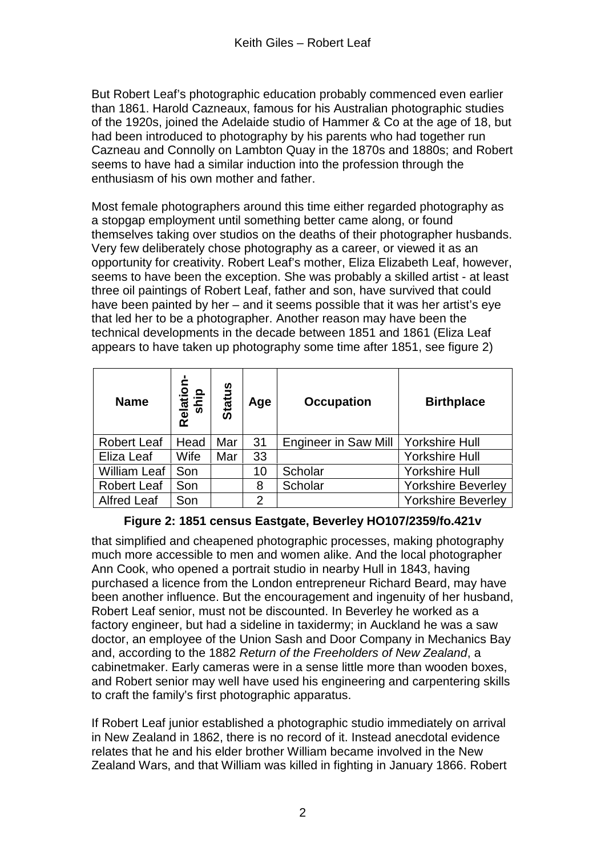But Robert Leaf's photographic education probably commenced even earlier than 1861. Harold Cazneaux, famous for his Australian photographic studies of the 1920s, joined the Adelaide studio of Hammer & Co at the age of 18, but had been introduced to photography by his parents who had together run Cazneau and Connolly on Lambton Quay in the 1870s and 1880s; and Robert seems to have had a similar induction into the profession through the enthusiasm of his own mother and father.

Most female photographers around this time either regarded photography as a stopgap employment until something better came along, or found themselves taking over studios on the deaths of their photographer husbands. Very few deliberately chose photography as a career, or viewed it as an opportunity for creativity. Robert Leaf's mother, Eliza Elizabeth Leaf, however, seems to have been the exception. She was probably a skilled artist - at least three oil paintings of Robert Leaf, father and son, have survived that could have been painted by her – and it seems possible that it was her artist's eye that led her to be a photographer. Another reason may have been the technical developments in the decade between 1851 and 1861 (Eliza Leaf appears to have taken up photography some time after 1851, see figure 2)

| <b>Name</b>         | Relation-<br>ship | <b>Status</b> | Age            | <b>Occupation</b>           | <b>Birthplace</b>         |
|---------------------|-------------------|---------------|----------------|-----------------------------|---------------------------|
| <b>Robert Leaf</b>  | Head              | Mar           | 31             | <b>Engineer in Saw Mill</b> | <b>Yorkshire Hull</b>     |
| Eliza Leaf          | Wife              | Mar           | 33             |                             | <b>Yorkshire Hull</b>     |
| <b>William Leaf</b> | Son               |               | 10             | Scholar                     | <b>Yorkshire Hull</b>     |
| <b>Robert Leaf</b>  | Son               |               | 8              | Scholar                     | <b>Yorkshire Beverley</b> |
| <b>Alfred Leaf</b>  | Son               |               | $\overline{2}$ |                             | <b>Yorkshire Beverley</b> |

## **Figure 2: 1851 census Eastgate, Beverley HO107/2359/fo.421v**

that simplified and cheapened photographic processes, making photography much more accessible to men and women alike. And the local photographer Ann Cook, who opened a portrait studio in nearby Hull in 1843, having purchased a licence from the London entrepreneur Richard Beard, may have been another influence. But the encouragement and ingenuity of her husband, Robert Leaf senior, must not be discounted. In Beverley he worked as a factory engineer, but had a sideline in taxidermy; in Auckland he was a saw doctor, an employee of the Union Sash and Door Company in Mechanics Bay and, according to the 1882 *Return of the Freeholders of New Zealand*, a cabinetmaker. Early cameras were in a sense little more than wooden boxes, and Robert senior may well have used his engineering and carpentering skills to craft the family's first photographic apparatus.

If Robert Leaf junior established a photographic studio immediately on arrival in New Zealand in 1862, there is no record of it. Instead anecdotal evidence relates that he and his elder brother William became involved in the New Zealand Wars, and that William was killed in fighting in January 1866. Robert